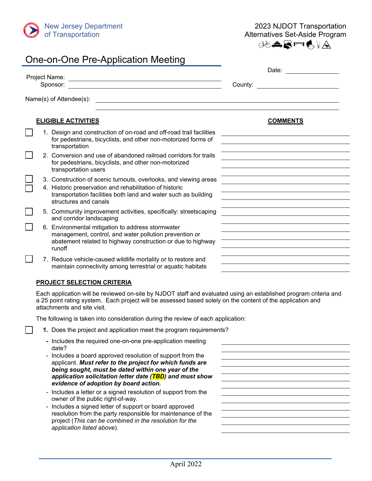

2023 NJDOT Transportation Alternatives Set-Aside Program

JOARFLYA

|  | One-on-One Pre-Application Meeting                                                                                                                                                                                     |                                       |  |  |
|--|------------------------------------------------------------------------------------------------------------------------------------------------------------------------------------------------------------------------|---------------------------------------|--|--|
|  | Sponsor:                                                                                                                                                                                                               | Date: Date:<br>County: <b>County:</b> |  |  |
|  | Name(s) of Attendee(s):                                                                                                                                                                                                |                                       |  |  |
|  | <b>ELIGIBLE ACTIVITIES</b>                                                                                                                                                                                             | <b>COMMENTS</b>                       |  |  |
|  | 1. Design and construction of on-road and off-road trail facilities<br>for pedestrians, bicyclists, and other non-motorized forms of<br>transportation                                                                 |                                       |  |  |
|  | 2. Conversion and use of abandoned railroad corridors for trails<br>for pedestrians, bicyclists, and other non-motorized<br>transportation users                                                                       |                                       |  |  |
|  | 3. Construction of scenic turnouts, overlooks, and viewing areas<br>4. Historic preservation and rehabilitation of historic<br>transportation facilities both land and water such as building<br>structures and canals |                                       |  |  |
|  | 5. Community improvement activities, specifically: streetscaping<br>and corridor landscaping                                                                                                                           |                                       |  |  |
|  | 6. Environmental mitigation to address stormwater<br>management, control, and water pollution prevention or<br>abatement related to highway construction or due to highway<br>runoff                                   |                                       |  |  |
|  | 7. Reduce vehicle-caused wildlife mortality or to restore and<br>maintain connectivity among terrestrial or aquatic habitats                                                                                           |                                       |  |  |
|  |                                                                                                                                                                                                                        |                                       |  |  |

# **PROJECT SELECTION CRITERIA**

 $\Box$ 

Each application will be reviewed on-site by NJDOT staff and evaluated using an established program criteria and a 25 point rating system. Each project will be assessed based solely on the content of the application and attachments and site visit.

The following is taken into consideration during the review of each application:

- **1.** Does the project and application meet the program requirements?
- **-** Includes the required one-on-one pre-application meeting date?
- Includes a board approved resolution of support from the applicant. *Must refer to the project for which funds are being sought, must be dated within one year of the application solicitation letter date (TBD) and must show evidence of adoption by board action.*
- Includes a letter or a signed resolution of support from the owner of the public right-of-way.
- Includes a signed letter of support or board approved resolution from the party responsible for maintenance of the project (*This can be combined in the resolution for the application listed above*).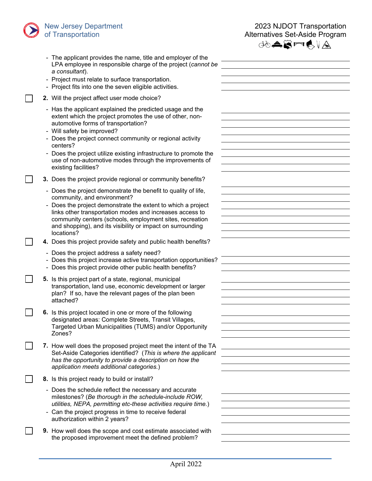# New Jersey Department of Transportation



 $\overline{\phantom{a}}$ 

|  | - The applicant provides the name, title and employer of the<br>LPA employee in responsible charge of the project (cannot be<br>a consultant).<br>- Project must relate to surface transportation.<br>- Project fits into one the seven eligible activities.                                                                                                                                                                |  |
|--|-----------------------------------------------------------------------------------------------------------------------------------------------------------------------------------------------------------------------------------------------------------------------------------------------------------------------------------------------------------------------------------------------------------------------------|--|
|  | 2. Will the project affect user mode choice?                                                                                                                                                                                                                                                                                                                                                                                |  |
|  | - Has the applicant explained the predicted usage and the<br>extent which the project promotes the use of other, non-<br>automotive forms of transportation?<br>- Will safety be improved?<br>- Does the project connect community or regional activity<br>centers?<br>- Does the project utilize existing infrastructure to promote the<br>use of non-automotive modes through the improvements of<br>existing facilities? |  |
|  | 3. Does the project provide regional or community benefits?                                                                                                                                                                                                                                                                                                                                                                 |  |
|  | - Does the project demonstrate the benefit to quality of life,<br>community, and environment?<br>Does the project demonstrate the extent to which a project<br>links other transportation modes and increases access to<br>community centers (schools, employment sites, recreation<br>and shopping), and its visibility or impact on surrounding<br>locations?                                                             |  |
|  | 4. Does this project provide safety and public health benefits?                                                                                                                                                                                                                                                                                                                                                             |  |
|  | - Does the project address a safety need?<br>- Does this project increase active transportation opportunities?<br>- Does this project provide other public health benefits?                                                                                                                                                                                                                                                 |  |
|  | 5. Is this project part of a state, regional, municipal<br>transportation, land use, economic development or larger<br>plan? If so, have the relevant pages of the plan been<br>attached?                                                                                                                                                                                                                                   |  |
|  | 6. Is this project located in one or more of the following<br>designated areas: Complete Streets, Transit Villages,<br>Targeted Urban Municipalities (TUMS) and/or Opportunity<br>Zones?                                                                                                                                                                                                                                    |  |
|  | 7. How well does the proposed project meet the intent of the TA<br>Set-Aside Categories identified? (This is where the applicant<br>has the opportunity to provide a description on how the<br>application meets additional categories.)                                                                                                                                                                                    |  |
|  | 8. Is this project ready to build or install?                                                                                                                                                                                                                                                                                                                                                                               |  |
|  | - Does the schedule reflect the necessary and accurate<br>milestones? (Be thorough in the schedule-include ROW,<br>utilities, NEPA, permitting etc-these activities require time.)<br>- Can the project progress in time to receive federal<br>authorization within 2 years?                                                                                                                                                |  |
|  | <b>9.</b> How well does the scope and cost estimate associated with<br>the proposed improvement meet the defined problem?                                                                                                                                                                                                                                                                                                   |  |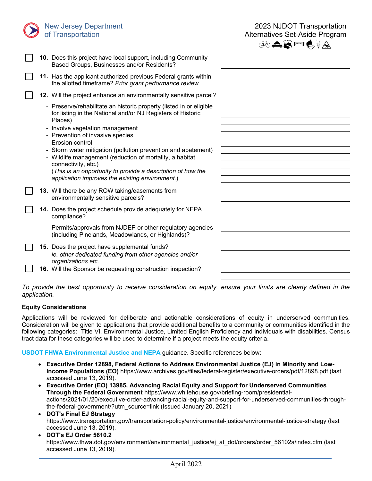

New Jersey Department of Transportation

**10.** Does this project have local support, including Community

| ぱ <del></del> ぷ‴☆ |  |  |  |
|-------------------|--|--|--|
|                   |  |  |  |

|  | <b>10.</b> Does this project have local support, including Community                                                                                                                                                                                               |  |
|--|--------------------------------------------------------------------------------------------------------------------------------------------------------------------------------------------------------------------------------------------------------------------|--|
|  | Based Groups, Businesses and/or Residents?                                                                                                                                                                                                                         |  |
|  | 11. Has the applicant authorized previous Federal grants within<br>the allotted timeframe? Prior grant performance review.                                                                                                                                         |  |
|  | 12. Will the project enhance an environmentally sensitive parcel?                                                                                                                                                                                                  |  |
|  | - Preserve/rehabilitate an historic property (listed in or eligible<br>for listing in the National and/or NJ Registers of Historic<br>Places)<br>- Involve vegetation management<br>- Prevention of invasive species<br>- Erosion control                          |  |
|  | - Storm water mitigation (pollution prevention and abatement)<br>- Wildlife management (reduction of mortality, a habitat<br>connectivity, etc.)<br>(This is an opportunity to provide a description of how the<br>application improves the existing environment.) |  |
|  | 13. Will there be any ROW taking/easements from<br>environmentally sensitive parcels?                                                                                                                                                                              |  |
|  | 14. Does the project schedule provide adequately for NEPA<br>compliance?                                                                                                                                                                                           |  |
|  | Permits/approvals from NJDEP or other regulatory agencies<br>(including Pinelands, Meadowlands, or Highlands)?                                                                                                                                                     |  |
|  | 15. Does the project have supplemental funds?<br>ie. other dedicated funding from other agencies and/or<br>organizations etc.                                                                                                                                      |  |
|  | 16. Will the Sponsor be requesting construction inspection?                                                                                                                                                                                                        |  |
|  |                                                                                                                                                                                                                                                                    |  |

*To provide the best opportunity to receive consideration on equity, ensure your limits are clearly defined in the application.*

# **Equity Considerations**

Applications will be reviewed for deliberate and actionable considerations of equity in underserved communities. Consideration will be given to applications that provide additional benefits to a community or communities identified in the following categories: Title VI, Environmental Justice, Limited English Proficiency and individuals with disabilities. Census tract data for these categories will be used to determine if a project meets the equity criteria.

# **USDOT FHWA Environmental Justice and NEPA** guidance. Specific references below:

- **Executive Order 12898, Federal Actions to Address Environmental Justice (EJ) in Minority and Low-Income Populations (EO)** https://www.archives.gov/files/federal-register/executive-orders/pdf/12898.pdf (last accessed June 13, 2019).
- **Executive Order (EO) 13985, Advancing Racial Equity and Support for Underserved Communities Through the Federal Government** [https://www.whitehouse.gov/briefing-room/presidential](https://www.whitehouse.gov/briefing-room/presidential-actions/2021/01/20/executive-order-advancing-racial-equity-and-support-for-underserved-communities-through-the-federal-government/?utm_source=link)[actions/2021/01/20/executive-order-advancing-racial-equity-and-support-for-underserved-communities-through](https://www.whitehouse.gov/briefing-room/presidential-actions/2021/01/20/executive-order-advancing-racial-equity-and-support-for-underserved-communities-through-the-federal-government/?utm_source=link)[the-federal-government/?utm\\_source=link](https://www.whitehouse.gov/briefing-room/presidential-actions/2021/01/20/executive-order-advancing-racial-equity-and-support-for-underserved-communities-through-the-federal-government/?utm_source=link) (Issued January 20, 2021)
- **DOT's Final EJ Strategy**  https://www.transportation.gov/transportation-policy/environmental-justice/environmental-justice-strategy (last accessed June 13, 2019).
- **DOT's EJ Order 5610.2**  https://www.fhwa.dot.gov/environment/environmental\_justice/ej\_at\_dot/orders/order\_56102a/index.cfm (last accessed June 13, 2019).